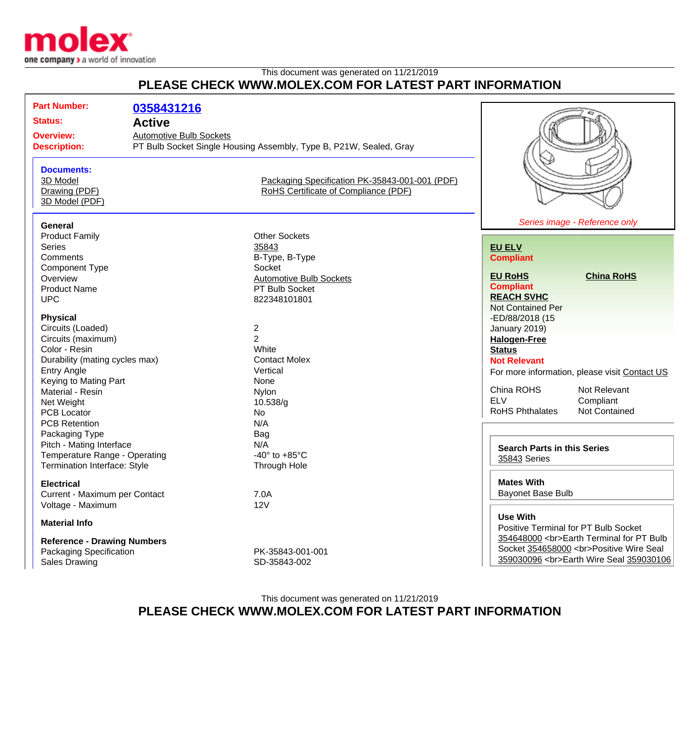

## This document was generated on 11/21/2019 **PLEASE CHECK WWW.MOLEX.COM FOR LATEST PART INFORMATION**

| <b>Part Number:</b>                                                   | 0358431216                                      |                                                                                                                                                              |                                                                |
|-----------------------------------------------------------------------|-------------------------------------------------|--------------------------------------------------------------------------------------------------------------------------------------------------------------|----------------------------------------------------------------|
| <b>Status:</b><br><b>Overview:</b>                                    | <b>Active</b><br><b>Automotive Bulb Sockets</b> |                                                                                                                                                              |                                                                |
| <b>Description:</b><br><b>Documents:</b><br>3D Model<br>Drawing (PDF) |                                                 | PT Bulb Socket Single Housing Assembly, Type B, P21W, Sealed, Gray<br>Packaging Specification PK-35843-001-001 (PDF)<br>RoHS Certificate of Compliance (PDF) |                                                                |
| 3D Model (PDF)                                                        |                                                 |                                                                                                                                                              |                                                                |
| <b>General</b>                                                        |                                                 |                                                                                                                                                              | Series image - Reference only                                  |
| <b>Product Family</b>                                                 |                                                 | <b>Other Sockets</b>                                                                                                                                         |                                                                |
| <b>Series</b>                                                         |                                                 | 35843                                                                                                                                                        | <b>EU ELV</b>                                                  |
| Comments                                                              |                                                 | B-Type, B-Type<br>Socket                                                                                                                                     | <b>Compliant</b>                                               |
| <b>Component Type</b><br>Overview                                     |                                                 | <b>Automotive Bulb Sockets</b>                                                                                                                               | <b>EU RoHS</b><br><b>China RoHS</b>                            |
| <b>Product Name</b>                                                   |                                                 | PT Bulb Socket                                                                                                                                               | <b>Compliant</b>                                               |
| <b>UPC</b>                                                            |                                                 | 822348101801                                                                                                                                                 | <b>REACH SVHC</b>                                              |
|                                                                       |                                                 |                                                                                                                                                              | <b>Not Contained Per</b>                                       |
| <b>Physical</b>                                                       |                                                 |                                                                                                                                                              | -ED/88/2018 (15                                                |
| Circuits (Loaded)                                                     |                                                 | $\overline{\mathbf{c}}$                                                                                                                                      | January 2019)                                                  |
| Circuits (maximum)                                                    |                                                 | $\overline{2}$                                                                                                                                               | <b>Halogen-Free</b>                                            |
| Color - Resin                                                         |                                                 | White                                                                                                                                                        | <b>Status</b>                                                  |
| Durability (mating cycles max)                                        |                                                 | <b>Contact Molex</b>                                                                                                                                         | <b>Not Relevant</b>                                            |
| <b>Entry Angle</b>                                                    |                                                 | Vertical                                                                                                                                                     | For more information, please visit Contact US                  |
| Keying to Mating Part                                                 |                                                 | None                                                                                                                                                         |                                                                |
| Material - Resin                                                      |                                                 | Nylon                                                                                                                                                        | China ROHS<br>Not Relevant<br><b>ELV</b><br>Compliant          |
| Net Weight                                                            |                                                 | 10.538/g                                                                                                                                                     | <b>RoHS Phthalates</b><br>Not Contained                        |
| <b>PCB Locator</b><br><b>PCB Retention</b>                            |                                                 | No<br>N/A                                                                                                                                                    |                                                                |
| Packaging Type                                                        |                                                 | Bag                                                                                                                                                          |                                                                |
| Pitch - Mating Interface                                              |                                                 | N/A                                                                                                                                                          |                                                                |
| Temperature Range - Operating                                         |                                                 | -40 $\degree$ to +85 $\degree$ C                                                                                                                             | <b>Search Parts in this Series</b>                             |
| Termination Interface: Style                                          |                                                 | <b>Through Hole</b>                                                                                                                                          | 35843 Series                                                   |
| <b>Electrical</b>                                                     |                                                 |                                                                                                                                                              | <b>Mates With</b>                                              |
| Current - Maximum per Contact                                         |                                                 | 7.0A                                                                                                                                                         | <b>Bayonet Base Bulb</b>                                       |
| Voltage - Maximum                                                     |                                                 | 12V                                                                                                                                                          |                                                                |
| <b>Material Info</b>                                                  |                                                 |                                                                                                                                                              | <b>Use With</b><br><b>Positive Terminal for PT Bulb Socket</b> |
| <b>Reference - Drawing Numbers</b>                                    |                                                 |                                                                                                                                                              | 354648000<br>Earth Terminal for PT Bulb                        |
| Packaging Specification                                               |                                                 | PK-35843-001-001                                                                                                                                             | Socket 354658000<br>Positive Wire Seal                         |
| <b>Sales Drawing</b>                                                  |                                                 | SD-35843-002                                                                                                                                                 | 359030096<br>Earth Wire Seal 359030106                         |

This document was generated on 11/21/2019 **PLEASE CHECK WWW.MOLEX.COM FOR LATEST PART INFORMATION**